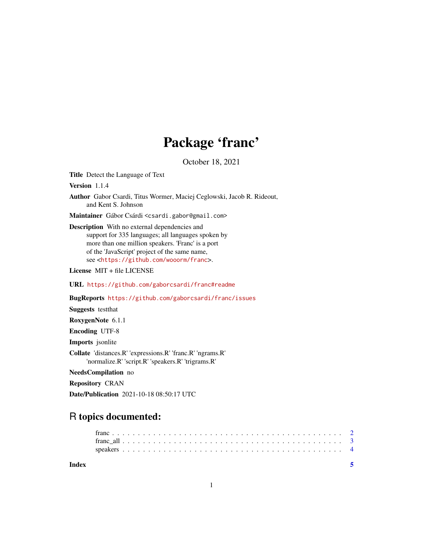## Package 'franc'

October 18, 2021

Title Detect the Language of Text

Version 1.1.4

Author Gabor Csardi, Titus Wormer, Maciej Ceglowski, Jacob R. Rideout, and Kent S. Johnson

Maintainer Gábor Csárdi <csardi.gabor@gmail.com>

Description With no external dependencies and support for 335 languages; all languages spoken by more than one million speakers. 'Franc' is a port of the 'JavaScript' project of the same name, see <<https://github.com/wooorm/franc>>.

License MIT + file LICENSE

URL <https://github.com/gaborcsardi/franc#readme>

BugReports <https://github.com/gaborcsardi/franc/issues>

Suggests testthat

RoxygenNote 6.1.1

Encoding UTF-8

Imports jsonlite

Collate 'distances.R' 'expressions.R' 'franc.R' 'ngrams.R' 'normalize.R' 'script.R' 'speakers.R' 'trigrams.R'

NeedsCompilation no

Repository CRAN

Date/Publication 2021-10-18 08:50:17 UTC

### R topics documented:

| Index |  |  |  |  |  |  |  |  |  |  |  |  |  |  |  |  |  |  |  |  |  |  |  |
|-------|--|--|--|--|--|--|--|--|--|--|--|--|--|--|--|--|--|--|--|--|--|--|--|
|       |  |  |  |  |  |  |  |  |  |  |  |  |  |  |  |  |  |  |  |  |  |  |  |
|       |  |  |  |  |  |  |  |  |  |  |  |  |  |  |  |  |  |  |  |  |  |  |  |
|       |  |  |  |  |  |  |  |  |  |  |  |  |  |  |  |  |  |  |  |  |  |  |  |

1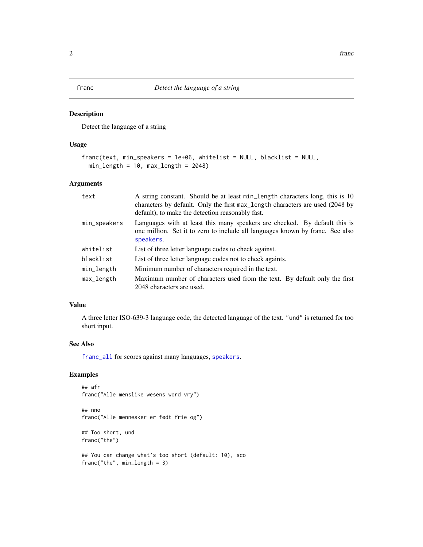<span id="page-1-1"></span><span id="page-1-0"></span>

#### Description

Detect the language of a string

#### Usage

```
franc(text, min_speakers = 1e+06, whitelist = NULL, blacklist = NULL,
 min_length = 10, max_length = 2048)
```
#### Arguments

| text         | A string constant. Should be at least min_length characters long, this is 10<br>characters by default. Only the first max_length characters are used (2048 by<br>default), to make the detection reasonably fast. |
|--------------|-------------------------------------------------------------------------------------------------------------------------------------------------------------------------------------------------------------------|
| min_speakers | Languages with at least this many speakers are checked. By default this is<br>one million. Set it to zero to include all languages known by franc. See also<br>speakers.                                          |
| whitelist    | List of three letter language codes to check against.                                                                                                                                                             |
| blacklist    | List of three letter language codes not to check againts.                                                                                                                                                         |
| min_length   | Minimum number of characters required in the text.                                                                                                                                                                |
| max_length   | Maximum number of characters used from the text. By default only the first<br>2048 characters are used.                                                                                                           |

#### Value

A three letter ISO-639-3 language code, the detected language of the text. "und" is returned for too short input.

#### See Also

[franc\\_all](#page-2-1) for scores against many languages, [speakers](#page-3-1).

#### Examples

```
## afr
franc("Alle menslike wesens word vry")
```
## nno franc("Alle mennesker er født frie og")

## Too short, und franc("the")

```
## You can change what's too short (default: 10), sco
franc("the", min_length = 3)
```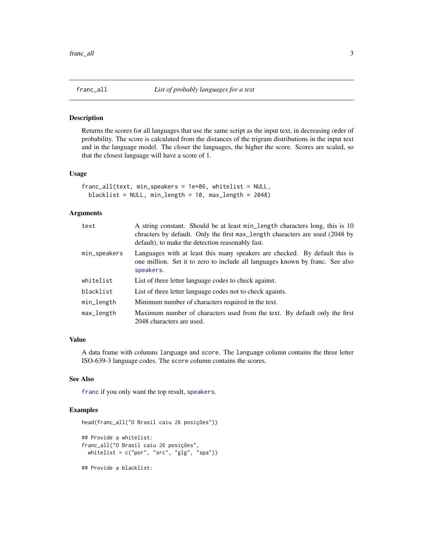<span id="page-2-1"></span><span id="page-2-0"></span>

#### Description

Returns the scores for all languages that use the same script as the input text, in decreasing order of probability. The score is calculated from the distances of the trigram distributions in the input text and in the language model. The closer the languages, the higher the score. Scores are scaled, so that the closest language will have a score of 1.

#### Usage

```
franc_all(text, min_speakers = 1e+06, whitelist = NULL,
 blacklist = NULL, min_length = 10, max_length = 2048)
```
#### Arguments

| text         | A string constant. Should be at least min_length characters long, this is 10<br>chracters by default. Only the first max_length characters are used (2048 by<br>default), to make the detection reasonably fast. |
|--------------|------------------------------------------------------------------------------------------------------------------------------------------------------------------------------------------------------------------|
| min_speakers | Languages with at least this many speakers are checked. By default this is<br>one million. Set it to zero to include all languages known by franc. See also<br>speakers.                                         |
| whitelist    | List of three letter language codes to check against.                                                                                                                                                            |
| blacklist    | List of three letter language codes not to check againts.                                                                                                                                                        |
| min_length   | Minimum number of characters required in the text.                                                                                                                                                               |
| max_length   | Maximum number of characters used from the text. By default only the first<br>2048 characters are used.                                                                                                          |

#### Value

A data frame with columns language and score. The language column contains the three letter ISO-639-3 language codes. The score column contains the scores.

#### See Also

[franc](#page-1-1) if you only want the top result, [speakers](#page-3-1).

#### Examples

```
head(franc_all("O Brasil caiu 26 posições"))
## Provide a whitelist:
franc_all("O Brasil caiu 26 posições",
 whitelist = c("por", "src", "glg", "spa"))
## Provide a blacklist:
```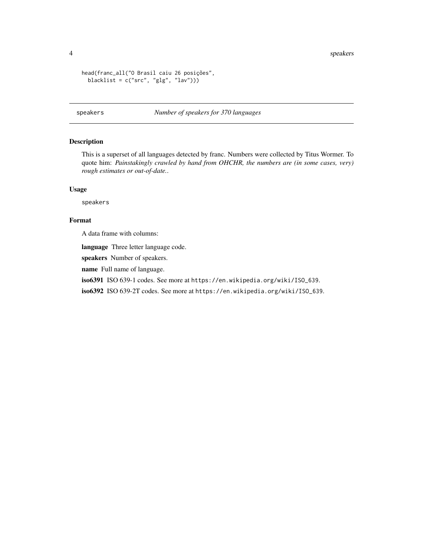<span id="page-3-0"></span>4 speakers and the speakers of the speakers of the speakers of the speakers of the speakers of the speakers of

```
head(franc_all("O Brasil caiu 26 posições",
  blacklist = c("src", "glg", "lav")))
```
<span id="page-3-1"></span>speakers *Number of speakers for 370 languages*

#### Description

This is a superset of all languages detected by franc. Numbers were collected by Titus Wormer. To quote him: *Painstakingly crawled by hand from OHCHR, the numbers are (in some cases, very) rough estimates or out-of-date.*.

#### Usage

speakers

#### Format

A data frame with columns:

language Three letter language code.

speakers Number of speakers.

name Full name of language.

iso6391 ISO 639-1 codes. See more at https://en.wikipedia.org/wiki/ISO\_639.

iso6392 ISO 639-2T codes. See more at https://en.wikipedia.org/wiki/ISO\_639.